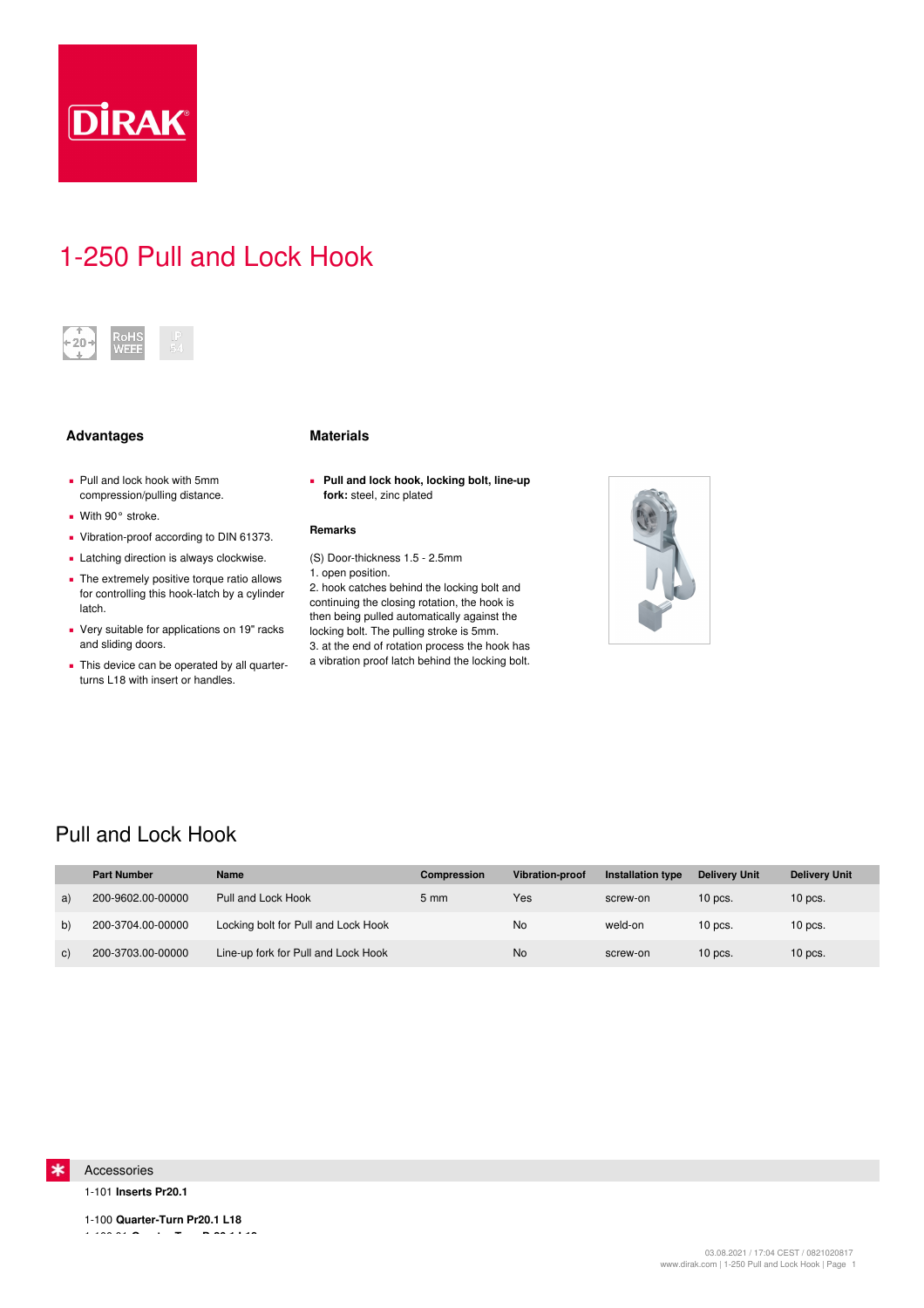

# 1-250 Pull and Lock Hook



## **Advantages Materials**

- Pull and lock hook with 5mm compression/pulling distance.
- With 90° stroke.
- Vibration-proof according to DIN 61373.
- **Example 1** Latching direction is always clockwise.
- **•** The extremely positive torque ratio allows for controlling this hook-latch by a cylinder latch.
- Very suitable for applications on 19" racks and sliding doors.
- **This device can be operated by all quarter**turns L18 with insert or handles.

**Pull and lock hook, locking bolt, line-up ▪ fork:** steel, zinc plated

### **Remarks**

(S) Door-thickness 1.5 - 2.5mm

2. hook catches behind the locking bolt and continuing the closing rotation, the hook is then being pulled automatically against the locking bolt. The pulling stroke is 5mm. 3. at the end of rotation process the hook has a vibration proof latch behind the locking bolt.



## Pull and Lock Hook

|              | <b>Part Number</b> | <b>Name</b>                         | Compression    | Vibration-proof | <b>Installation type</b> | <b>Delivery Unit</b> | <b>Delivery Unit</b> |
|--------------|--------------------|-------------------------------------|----------------|-----------------|--------------------------|----------------------|----------------------|
| a)           | 200-9602.00-00000  | Pull and Lock Hook                  | $5 \text{ mm}$ | Yes             | screw-on                 | $10$ pcs.            | $10$ pcs.            |
| b)           | 200-3704.00-00000  | Locking bolt for Pull and Lock Hook |                | <b>No</b>       | weld-on                  | $10$ pcs.            | $10$ pcs.            |
| $\mathbf{C}$ | 200-3703.00-00000  | Line-up fork for Pull and Lock Hook |                | <b>No</b>       | screw-on                 | $10$ pcs.            | $10$ pcs.            |



1-101 **Inserts Pr20.1**

1-100 **Quarter-Turn Pr20.1 L18** 1-100.01 **Quarter-Turn Pr20.1 L18**

<sup>1.</sup> open position.